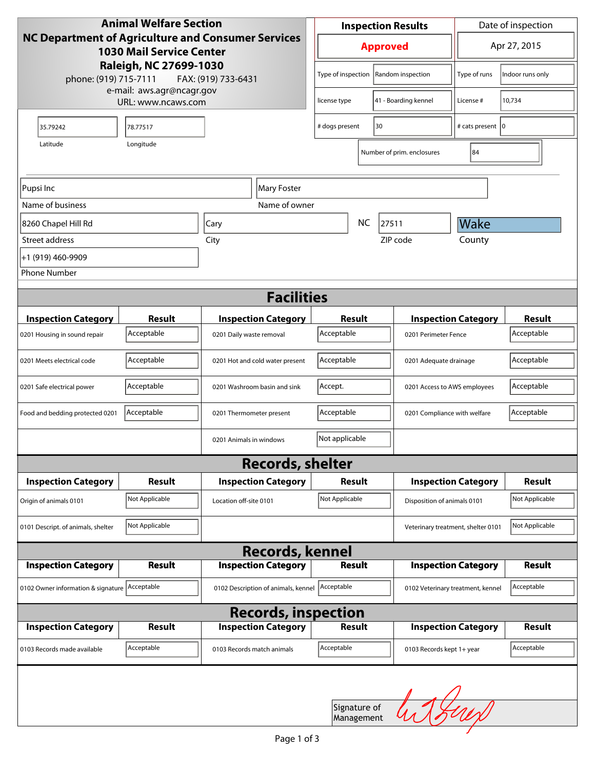| <b>Animal Welfare Section</b><br>NC Department of Agriculture and Consumer Services<br><b>1030 Mail Service Center</b> |                |                            |                                                  | <b>Inspection Results</b>                  |                            |                             |                            | Date of inspection                 |                |
|------------------------------------------------------------------------------------------------------------------------|----------------|----------------------------|--------------------------------------------------|--------------------------------------------|----------------------------|-----------------------------|----------------------------|------------------------------------|----------------|
|                                                                                                                        |                |                            |                                                  | <b>Approved</b>                            |                            |                             |                            | Apr 27, 2015                       |                |
| Raleigh, NC 27699-1030<br>phone: (919) 715-7111<br>FAX: (919) 733-6431                                                 |                |                            | Type of inspection   Random inspection           |                                            |                            |                             | Type of runs               | Indoor runs only                   |                |
| e-mail: aws.agr@ncagr.gov<br>URL: www.ncaws.com                                                                        |                |                            | 41 - Boarding kennel<br>license type             |                                            |                            | License #                   | 10,734                     |                                    |                |
| 35.79242                                                                                                               | 78.77517       |                            | 30<br># dogs present                             |                                            |                            | # cats present 0            |                            |                                    |                |
| Latitude<br>Longitude                                                                                                  |                |                            |                                                  |                                            | Number of prim. enclosures | 84                          |                            |                                    |                |
| Pupsi Inc<br>Mary Foster                                                                                               |                |                            |                                                  |                                            |                            |                             |                            |                                    |                |
| Name of business                                                                                                       |                |                            | Name of owner                                    |                                            |                            |                             |                            |                                    |                |
| 8260 Chapel Hill Rd                                                                                                    |                | Cary                       |                                                  | <b>NC</b><br>27511                         |                            |                             | Wake                       |                                    |                |
| Street address                                                                                                         |                | City                       |                                                  | ZIP code                                   |                            |                             | County                     |                                    |                |
| +1 (919) 460-9909                                                                                                      |                |                            |                                                  |                                            |                            |                             |                            |                                    |                |
| <b>Phone Number</b>                                                                                                    |                |                            |                                                  |                                            |                            |                             |                            |                                    |                |
|                                                                                                                        |                |                            | <b>Facilities</b>                                |                                            |                            |                             |                            |                                    |                |
| <b>Inspection Category</b>                                                                                             | <b>Result</b>  |                            | <b>Inspection Category</b>                       | Result                                     |                            |                             |                            | <b>Inspection Category</b>         | <b>Result</b>  |
| 0201 Housing in sound repair                                                                                           | Acceptable     | 0201 Daily waste removal   |                                                  | Acceptable<br>0201 Perimeter Fence         |                            |                             | Acceptable                 |                                    |                |
| 0201 Meets electrical code                                                                                             | Acceptable     |                            | 0201 Hot and cold water present                  | Acceptable<br>0201 Adequate drainage       |                            |                             | Acceptable                 |                                    |                |
| 0201 Safe electrical power                                                                                             | Acceptable     |                            | 0201 Washroom basin and sink                     | Accept.<br>0201 Access to AWS employees    |                            |                             | Acceptable                 |                                    |                |
| Food and bedding protected 0201                                                                                        | Acceptable     | 0201 Thermometer present   |                                                  | Acceptable<br>0201 Compliance with welfare |                            |                             | Acceptable                 |                                    |                |
|                                                                                                                        |                | 0201 Animals in windows    |                                                  | Not applicable                             |                            |                             |                            |                                    |                |
|                                                                                                                        |                |                            | <b>Records, shelter</b>                          |                                            |                            |                             |                            |                                    |                |
| <b>Inspection Category</b>                                                                                             | <b>Result</b>  |                            | <b>Inspection Category</b>                       |                                            | <b>Result</b>              |                             | <b>Inspection Category</b> | <b>Result</b>                      |                |
| Origin of animals 0101                                                                                                 | Not Applicable | Location off-site 0101     |                                                  | Not Applicable                             |                            | Disposition of animals 0101 |                            | Not Applicable                     |                |
| 0101 Descript. of animals, shelter                                                                                     | Not Applicable |                            |                                                  |                                            |                            |                             |                            | Veterinary treatment, shelter 0101 | Not Applicable |
|                                                                                                                        |                |                            | <b>Records, kennel</b>                           |                                            |                            |                             |                            |                                    |                |
| <b>Inspection Category</b>                                                                                             | <b>Result</b>  |                            | <b>Inspection Category</b>                       | <b>Result</b>                              |                            |                             |                            | <b>Inspection Category</b>         | <b>Result</b>  |
| 0102 Owner information & signature Acceptable                                                                          |                |                            | 0102 Description of animals, kennel   Acceptable |                                            |                            |                             |                            | 0102 Veterinary treatment, kennel  | Acceptable     |
| <b>Records, inspection</b>                                                                                             |                |                            |                                                  |                                            |                            |                             |                            |                                    |                |
| <b>Inspection Category</b>                                                                                             | <b>Result</b>  |                            | <b>Inspection Category</b>                       | <b>Result</b>                              |                            |                             |                            | <b>Inspection Category</b>         | <b>Result</b>  |
| 0103 Records made available                                                                                            | Acceptable     | 0103 Records match animals |                                                  | Acceptable                                 |                            |                             | 0103 Records kept 1+ year  |                                    | Acceptable     |
| Signature of<br>Management                                                                                             |                |                            |                                                  |                                            |                            |                             |                            |                                    |                |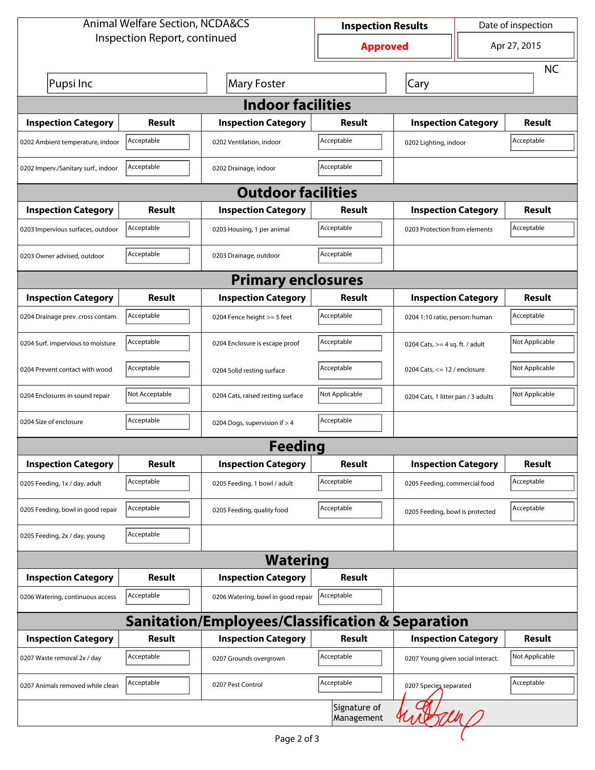| <b>Animal Welfare Section, NCDA&amp;CS</b> |                |                                                             | <b>Inspection Results</b>  |                                     |                               | Date of inspection |  |  |
|--------------------------------------------|----------------|-------------------------------------------------------------|----------------------------|-------------------------------------|-------------------------------|--------------------|--|--|
| Inspection Report, continued               |                |                                                             | <b>Approved</b>            |                                     | Apr 27, 2015                  |                    |  |  |
|                                            |                |                                                             |                            |                                     |                               | <b>NC</b>          |  |  |
| Pupsi Inc                                  |                | <b>Mary Foster</b>                                          |                            | Cary                                |                               |                    |  |  |
| <b>Indoor facilities</b>                   |                |                                                             |                            |                                     |                               |                    |  |  |
| <b>Inspection Category</b>                 | Result         | <b>Inspection Category</b>                                  | Result                     | <b>Inspection Category</b>          |                               | Result             |  |  |
| 0202 Ambient temperature, indoor           | Acceptable     | 0202 Ventilation, indoor                                    | Acceptable                 | Acceptable<br>0202 Lighting, indoor |                               |                    |  |  |
| 0202 Imperv./Sanitary surf., indoor        | Acceptable     | 0202 Drainage, indoor                                       | Acceptable                 |                                     |                               |                    |  |  |
|                                            |                | <b>Outdoor facilities</b>                                   |                            |                                     |                               |                    |  |  |
| <b>Inspection Category</b>                 | Result         | <b>Inspection Category</b>                                  | Result                     | <b>Inspection Category</b>          |                               | Result             |  |  |
| 0203 Impervious surfaces, outdoor          | Acceptable     | 0203 Housing, 1 per animal                                  | Acceptable                 |                                     | 0203 Protection from elements |                    |  |  |
| 0203 Owner advised, outdoor                | Acceptable     | 0203 Drainage, outdoor                                      | Acceptable                 |                                     |                               |                    |  |  |
|                                            |                | <b>Primary enclosures</b>                                   |                            |                                     |                               |                    |  |  |
| <b>Inspection Category</b>                 | Result         | <b>Inspection Category</b>                                  | Result                     | <b>Inspection Category</b>          |                               | <b>Result</b>      |  |  |
| 0204 Drainage prev. cross contam.          | Acceptable     | 0204 Fence height >= 5 feet                                 | Acceptable                 | 0204 1:10 ratio, person: human      |                               | Acceptable         |  |  |
| 0204 Surf. impervious to moisture          | Acceptable     | 0204 Enclosure is escape proof                              | Acceptable                 | 0204 Cats, $>=$ 4 sq. ft. / adult   |                               | Not Applicable     |  |  |
| 0204 Prevent contact with wood             | Acceptable     | 0204 Solid resting surface                                  | Acceptable                 | 0204 Cats, $<= 12$ / enclosure      |                               | Not Applicable     |  |  |
| 0204 Enclosures in sound repair            | Not Acceptable | 0204 Cats, raised resting surface                           | Not Applicable             | 0204 Cats, 1 litter pan / 3 adults  |                               | Not Applicable     |  |  |
| 0204 Size of enclosure                     | Acceptable     | 0204 Dogs, supervision if > 4                               | Acceptable                 |                                     |                               |                    |  |  |
|                                            |                | <b>Feeding</b>                                              |                            |                                     |                               |                    |  |  |
| <b>Inspection Category</b>                 | <b>Result</b>  | <b>Inspection Category</b>                                  | Result                     | <b>Inspection Category</b>          |                               | <b>Result</b>      |  |  |
| 0205 Feeding, 1x / day, adult              | Acceptable     | 0205 Feeding, 1 bowl / adult                                | Acceptable                 | 0205 Feeding, commercial food       |                               | Acceptable         |  |  |
| 0205 Feeding, bowl in good repair          | Acceptable     | 0205 Feeding, quality food                                  | Acceptable                 | 0205 Feeding, bowl is protected     |                               | Acceptable         |  |  |
| 0205 Feeding, 2x / day, young              | Acceptable     |                                                             |                            |                                     |                               |                    |  |  |
|                                            |                | <b>Watering</b>                                             |                            |                                     |                               |                    |  |  |
| <b>Inspection Category</b>                 | Result         | <b>Inspection Category</b>                                  | <b>Result</b>              |                                     |                               |                    |  |  |
| 0206 Watering, continuous access           | Acceptable     | 0206 Watering, bowl in good repair                          | Acceptable                 |                                     |                               |                    |  |  |
|                                            |                | <b>Sanitation/Employees/Classification &amp; Separation</b> |                            |                                     |                               |                    |  |  |
| <b>Inspection Category</b>                 | <b>Result</b>  | <b>Inspection Category</b>                                  | Result                     | <b>Inspection Category</b>          |                               | <b>Result</b>      |  |  |
| 0207 Waste removal 2x / day                | Acceptable     | 0207 Grounds overgrown                                      | Acceptable                 | 0207 Young given social interact.   |                               | Not Applicable     |  |  |
| 0207 Animals removed while clean           | Acceptable     | 0207 Pest Control                                           | Acceptable                 | 0207 Species separated              |                               | Acceptable         |  |  |
|                                            |                |                                                             | Signature of<br>Management |                                     |                               |                    |  |  |

 $\left($